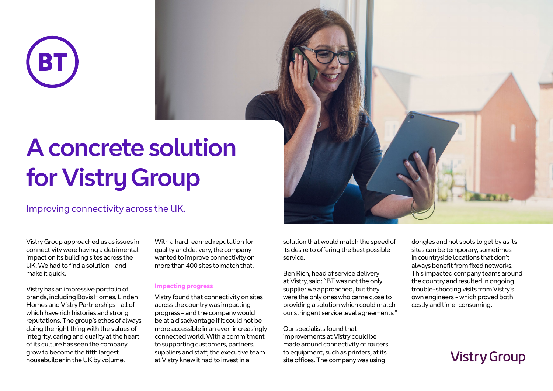

# A concrete solution for Vistry Group

### Improving connectivity across the UK.

Vistry Group approached us as issues in connectivity were having a detrimental impact on its building sites across the UK. We had to find a solution – and make it quick.

Vistry has an impressive portfolio of brands, including Bovis Homes, Linden Homes and Vistry Partnerships – all of which have rich histories and strong reputations. The group's ethos of always doing the right thing with the values of integrity, caring and quality at the heart of its culture has seen the company grow to become the fifth largest housebuilder in the UK by volume.

With a hard-earned reputation for quality and delivery, the company wanted to improve connectivity on more than 400 sites to match that.

### **Impacting progress**

Vistry found that connectivity on sites across the country was impacting progress – and the company would be at a disadvantage if it could not be more accessible in an ever-increasingly connected world. With a commitment to supporting customers, partners, suppliers and staff, the executive team at Vistry knew it had to invest in a

solution that would match the speed of its desire to offering the best possible service.

Ben Rich, head of service delivery at Vistry, said: "BT was not the only supplier we approached, but they were the only ones who came close to providing a solution which could match our stringent service level agreements."

Our specialists found that improvements at Vistry could be made around connectivity of routers to equipment, such as printers, at its site offices. The company was using

dongles and hot spots to get by as its sites can be temporary, sometimes in countryside locations that don't always benefit from fixed networks. This impacted company teams around the country and resulted in ongoing trouble-shooting visits from Vistry's own engineers - which proved both costly and time-consuming.

## **Vistry Group**